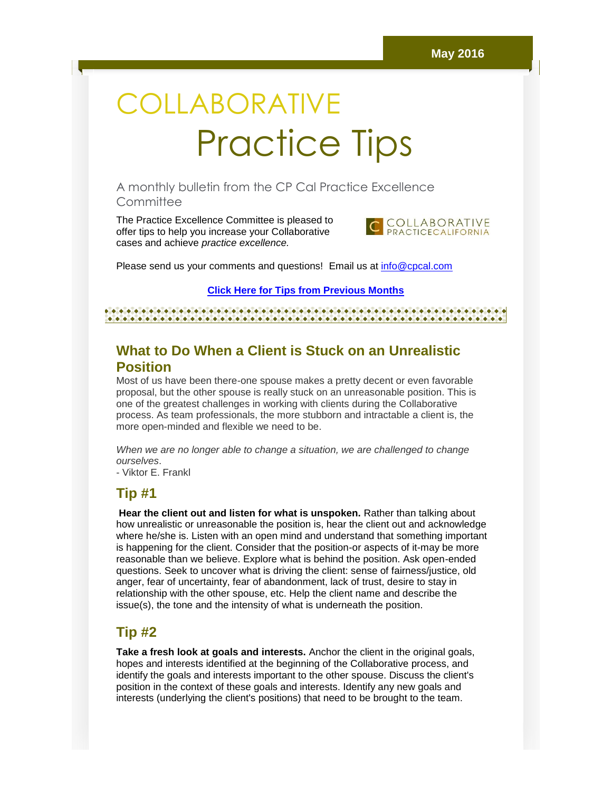# **COLLABORATIVE** Practice Tips

A monthly bulletin from the CP Cal Practice Excellence **Committee** 

The Practice Excellence Committee is pleased to offer tips to help you increase your Collaborative cases and achieve *practice excellence.*



Please send us your comments and questions! Email us at [info@cpcal.com](mailto:info@cpcal.com)

**[Click Here for Tips from Previous Months](http://r20.rs6.net/tn.jsp?t=m974bqxab.0.0.bny6tgdab.0&id=preview&r=3&p=https%3A%2F%2Fwww.dropbox.com%2Fsh%2Fnns7xqfkrgzi7sx%2FAACnvsWvEnTcndxaKdXGRv_Pa%3Fdl%3D0)**

### **What to Do When a Client is Stuck on an Unrealistic Position**

Most of us have been there-one spouse makes a pretty decent or even favorable proposal, but the other spouse is really stuck on an unreasonable position. This is one of the greatest challenges in working with clients during the Collaborative process. As team professionals, the more stubborn and intractable a client is, the more open-minded and flexible we need to be.

*When we are no longer able to change a situation, we are challenged to change ourselves*.

- Viktor E. Frankl

#### **Tip #1**

**Hear the client out and listen for what is unspoken.** Rather than talking about how unrealistic or unreasonable the position is, hear the client out and acknowledge where he/she is. Listen with an open mind and understand that something important is happening for the client. Consider that the position-or aspects of it-may be more reasonable than we believe. Explore what is behind the position. Ask open-ended questions. Seek to uncover what is driving the client: sense of fairness/justice, old anger, fear of uncertainty, fear of abandonment, lack of trust, desire to stay in relationship with the other spouse, etc. Help the client name and describe the issue(s), the tone and the intensity of what is underneath the position.

#### **Tip #2**

**Take a fresh look at goals and interests.** Anchor the client in the original goals, hopes and interests identified at the beginning of the Collaborative process, and identify the goals and interests important to the other spouse. Discuss the client's position in the context of these goals and interests. Identify any new goals and interests (underlying the client's positions) that need to be brought to the team.